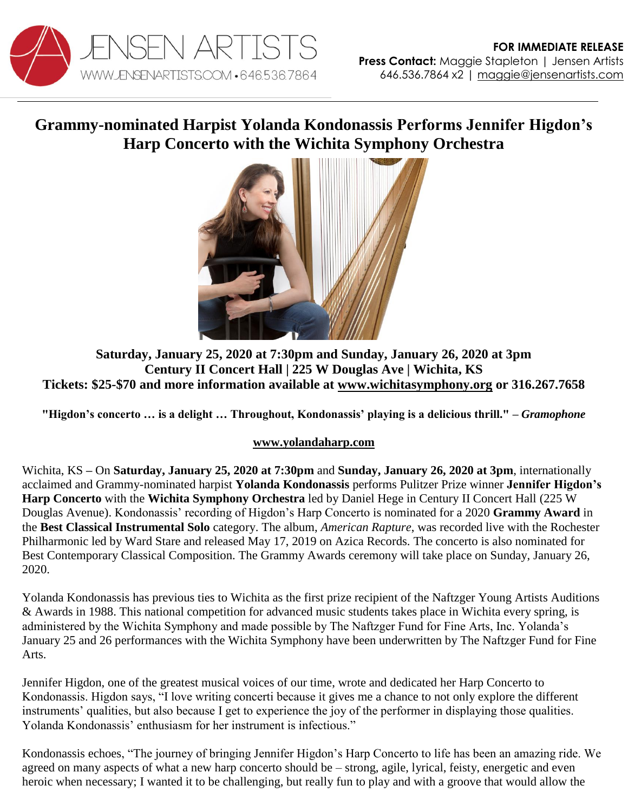

## **Grammy-nominated Harpist Yolanda Kondonassis Performs Jennifer Higdon's Harp Concerto with the Wichita Symphony Orchestra**



**Saturday, January 25, 2020 at 7:30pm and Sunday, January 26, 2020 at 3pm Century II Concert Hall | 225 W Douglas Ave | Wichita, KS Tickets: \$25-\$70 and more information available at [www.wichitasymphony.org](https://wichitasymphony.org/events/new-world-symphony) or 316.267.7658**

**"Higdon's concerto … is a delight … Throughout, Kondonassis' playing is a delicious thrill." –** *Gramophone*

## **[www.yolandaharp.com](http://www.yolandaharp.com/)**

Wichita, KS **–** On **Saturday, January 25, 2020 at 7:30pm** and **Sunday, January 26, 2020 at 3pm**, internationally acclaimed and Grammy-nominated harpist **Yolanda Kondonassis** performs Pulitzer Prize winner **Jennifer Higdon's Harp Concerto** with the **Wichita Symphony Orchestra** led by Daniel Hege in Century II Concert Hall (225 W Douglas Avenue). Kondonassis' recording of Higdon's Harp Concerto is nominated for a 2020 **Grammy Award** in the **Best Classical Instrumental Solo** category. The album, *American Rapture*, was recorded live with the Rochester Philharmonic led by Ward Stare and released May 17, 2019 on Azica Records. The concerto is also nominated for Best Contemporary Classical Composition. The Grammy Awards ceremony will take place on Sunday, January 26, 2020.

Yolanda Kondonassis has previous ties to Wichita as the first prize recipient of the Naftzger Young Artists Auditions & Awards in 1988. This national competition for advanced music students takes place in Wichita every spring, is administered by the Wichita Symphony and made possible by The Naftzger Fund for Fine Arts, Inc. Yolanda's January 25 and 26 performances with the Wichita Symphony have been underwritten by The Naftzger Fund for Fine Arts.

Jennifer Higdon, one of the greatest musical voices of our time, wrote and dedicated her Harp Concerto to Kondonassis. Higdon says, "I love writing concerti because it gives me a chance to not only explore the different instruments' qualities, but also because I get to experience the joy of the performer in displaying those qualities. Yolanda Kondonassis' enthusiasm for her instrument is infectious."

Kondonassis echoes, "The journey of bringing Jennifer Higdon's Harp Concerto to life has been an amazing ride. We agreed on many aspects of what a new harp concerto should be – strong, agile, lyrical, feisty, energetic and even heroic when necessary; I wanted it to be challenging, but really fun to play and with a groove that would allow the